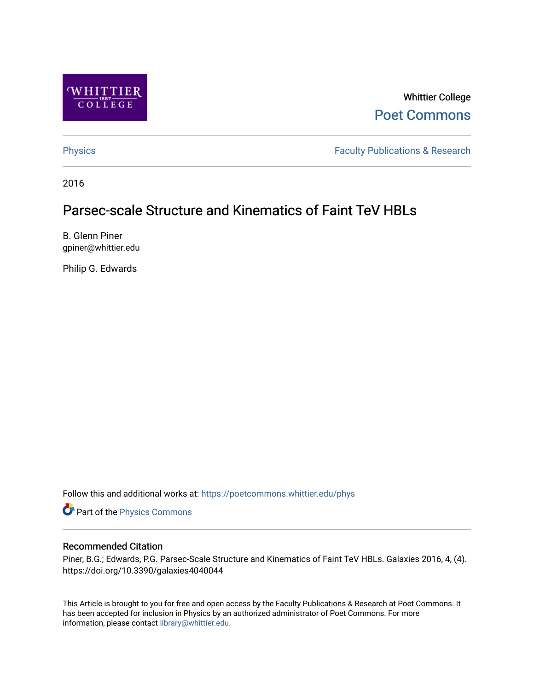

Whittier College [Poet Commons](https://poetcommons.whittier.edu/) 

[Physics](https://poetcommons.whittier.edu/phys) **Faculty Publications & Research Physics** 

2016

# Parsec-scale Structure and Kinematics of Faint TeV HBLs

B. Glenn Piner gpiner@whittier.edu

Philip G. Edwards

Follow this and additional works at: [https://poetcommons.whittier.edu/phys](https://poetcommons.whittier.edu/phys?utm_source=poetcommons.whittier.edu%2Fphys%2F5&utm_medium=PDF&utm_campaign=PDFCoverPages)

Part of the [Physics Commons](http://network.bepress.com/hgg/discipline/193?utm_source=poetcommons.whittier.edu%2Fphys%2F5&utm_medium=PDF&utm_campaign=PDFCoverPages)

# Recommended Citation

Piner, B.G.; Edwards, P.G. Parsec-Scale Structure and Kinematics of Faint TeV HBLs. Galaxies 2016, 4, (4). https://doi.org/10.3390/galaxies4040044

This Article is brought to you for free and open access by the Faculty Publications & Research at Poet Commons. It has been accepted for inclusion in Physics by an authorized administrator of Poet Commons. For more information, please contact [library@whittier.edu.](mailto:library@whittier.edu)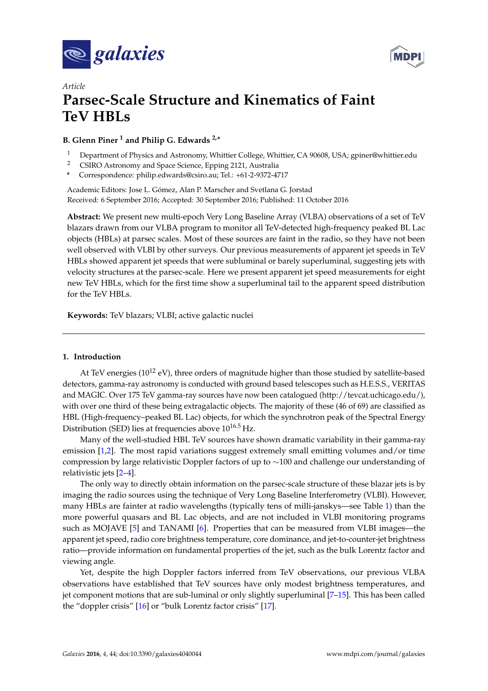



# *Article* **Parsec-Scale Structure and Kinematics of Faint TeV HBLs**

# **B. Glenn Piner <sup>1</sup> and Philip G. Edwards 2,**<sup>∗</sup>

- <sup>1</sup> Department of Physics and Astronomy, Whittier College, Whittier, CA 90608, USA; gpiner@whittier.edu
- <sup>2</sup> CSIRO Astronomy and Space Science, Epping 2121, Australia
- **\*** Correspondence: philip.edwards@csiro.au; Tel.: +61-2-9372-4717

Academic Editors: Jose L. Gómez, Alan P. Marscher and Svetlana G. Jorstad Received: 6 September 2016; Accepted: 30 September 2016; Published: 11 October 2016

**Abstract:** We present new multi-epoch Very Long Baseline Array (VLBA) observations of a set of TeV blazars drawn from our VLBA program to monitor all TeV-detected high-frequency peaked BL Lac objects (HBLs) at parsec scales. Most of these sources are faint in the radio, so they have not been well observed with VLBI by other surveys. Our previous measurements of apparent jet speeds in TeV HBLs showed apparent jet speeds that were subluminal or barely superluminal, suggesting jets with velocity structures at the parsec-scale. Here we present apparent jet speed measurements for eight new TeV HBLs, which for the first time show a superluminal tail to the apparent speed distribution for the TeV HBLs.

**Keywords:** TeV blazars; VLBI; active galactic nuclei

## **1. Introduction**

At TeV energies (10<sup>12</sup> eV), three orders of magnitude higher than those studied by satellite-based detectors, gamma-ray astronomy is conducted with ground based telescopes such as H.E.S.S., VERITAS and MAGIC. Over 175 TeV gamma-ray sources have now been catalogued [\(http://tevcat.uchicago.edu/\)](http://tevcat.uchicago.edu/), with over one third of these being extragalactic objects. The majority of these (46 of 69) are classified as HBL (High-frequency–peaked BL Lac) objects, for which the synchrotron peak of the Spectral Energy Distribution (SED) lies at frequencies above  $10^{16.5}$  Hz.

Many of the well-studied HBL TeV sources have shown dramatic variability in their gamma-ray emission [\[1](#page-5-0)[,2\]](#page-5-1). The most rapid variations suggest extremely small emitting volumes and/or time compression by large relativistic Doppler factors of up to ∼100 and challenge our understanding of relativistic jets [\[2](#page-5-1)[–4\]](#page-5-2).

The only way to directly obtain information on the parsec-scale structure of these blazar jets is by imaging the radio sources using the technique of Very Long Baseline Interferometry (VLBI). However, many HBLs are fainter at radio wavelengths (typically tens of milli-janskys—see Table [1\)](#page-2-0) than the more powerful quasars and BL Lac objects, and are not included in VLBI monitoring programs such as MOJAVE [\[5\]](#page-5-3) and TANAMI [\[6\]](#page-5-4). Properties that can be measured from VLBI images—the apparent jet speed, radio core brightness temperature, core dominance, and jet-to-counter-jet brightness ratio—provide information on fundamental properties of the jet, such as the bulk Lorentz factor and viewing angle.

Yet, despite the high Doppler factors inferred from TeV observations, our previous VLBA observations have established that TeV sources have only modest brightness temperatures, and jet component motions that are sub-luminal or only slightly superluminal [\[7–](#page-5-5)[15\]](#page-6-0). This has been called the "doppler crisis" [\[16\]](#page-6-1) or "bulk Lorentz factor crisis" [\[17\]](#page-6-2).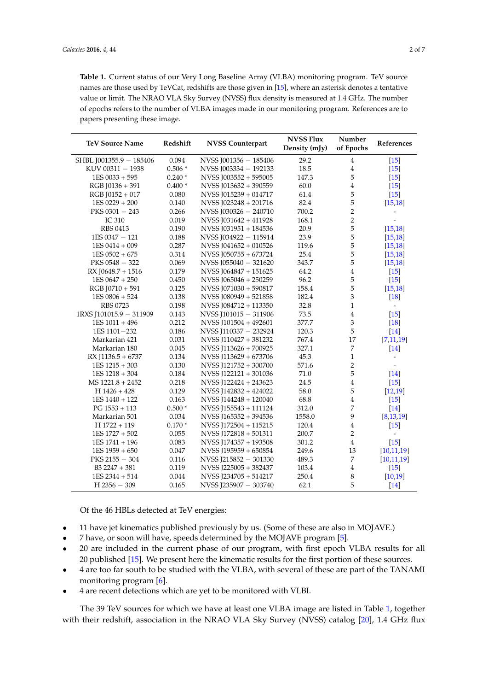<span id="page-2-0"></span>**Table 1.** Current status of our Very Long Baseline Array (VLBA) monitoring program. TeV source names are those used by TeVCat, redshifts are those given in [\[15\]](#page-6-0), where an asterisk denotes a tentative value or limit. The NRAO VLA Sky Survey (NVSS) flux density is measured at 1.4 GHz. The number of epochs refers to the number of VLBA images made in our monitoring program. References are to papers presenting these image.

| <b>TeV Source Name</b>  | Redshift | <b>NVSS Counterpart</b> | <b>NVSS Flux</b><br>Density $(mJv)$ | Number<br>of Epochs | References               |
|-------------------------|----------|-------------------------|-------------------------------------|---------------------|--------------------------|
| SHBL J001355.9 - 185406 | 0.094    | NVSS J001356 - 185406   | 29.2                                | $\overline{4}$      | $[15]$                   |
| KUV 00311 - 1938        | $0.506*$ | NVSS J003334 - 192133   | 18.5                                | $\overline{4}$      | $[15]$                   |
| 1ES 0033 + 595          | $0.240*$ | NVSS J003552 + 595005   | 147.3                               | 5                   | $[15]$                   |
| RGB J0136 + 391         | $0.400*$ | NVSS J013632 + 390559   | 60.0                                | $\overline{4}$      | $[15]$                   |
| RGB J0152 + 017         | 0.080    | NVSS J015239 + 014717   | 61.4                                | 5                   | $[15]$                   |
| $1ES 0229 + 200$        | 0.140    | NVSS J023248 + 201716   | 82.4                                | 5                   | [15, 18]                 |
| $PKS$ 0301 $-$ 243      | 0.266    | NVSS J030326 - 240710   | 700.2                               | $\overline{c}$      | $\overline{\phantom{0}}$ |
| IC 310                  | 0.019    | NVSS J031642 + 411928   | 168.1                               | $\overline{2}$      | $\overline{\phantom{0}}$ |
| <b>RBS 0413</b>         | 0.190    | NVSS [031951 + 184536]  | 20.9                                | 5                   | [15, 18]                 |
| 1ES 0347 - 121          | 0.188    | NVSS J034922 - 115914   | 23.9                                | 5                   | [15, 18]                 |
| 1ES 0414 + 009          | 0.287    | NVSS $1041652 + 010526$ | 119.6                               | 5                   | [15, 18]                 |
| $1ES 0502 + 675$        | 0.314    | NVSS J050755 + 673724   | 25.4                                | 5                   | [15, 18]                 |
| PKS $0548 - 322$        | 0.069    | NVSS $1055040 - 321620$ | 343.7                               | 5                   | [15, 18]                 |
| RX J0648.7 + 1516       | 0.179    | NVSS J064847 + 151625   | 64.2                                | $\bf 4$             | $[15]$                   |
| $1ES 0647 + 250$        | 0.450    | NVSS J065046 + 250259   | 96.2                                | 5                   | $[15]$                   |
| RGB J0710 + 591         | 0.125    | NVSS J071030 + 590817   | 158.4                               | 5                   | [15, 18]                 |
| 1ES 0806 + 524          | 0.138    | NVSS J080949 + 521858   | 182.4                               | 3                   | $[18]$                   |
| <b>RBS 0723</b>         | 0.198    | NVSS J084712 + 113350   | 32.8                                | $\mathbf{1}$        | $\overline{a}$           |
| 1RXS J101015.9 - 311909 | 0.143    | NVSS J101015 - 311906   | 73.5                                | $\overline{4}$      | $[15]$                   |
| $1ES 1011 + 496$        | 0.212    | NVSS J101504 + 492601   | 377.7                               | 3                   | [18]                     |
| 1ES 1101-232            | 0.186    | NVSS J110337 - 232924   | 120.3                               | 5                   | $[14]$                   |
| Markarian 421           | 0.031    | NVSS J110427 + 381232   | 767.4                               | 17                  | [7,11,19]                |
| Markarian 180           | 0.045    | NVSS J113626 + 700925   | 327.1                               | 7                   | $[14]$                   |
| RX $[1136.5 + 6737]$    | 0.134    | NVSS J113629 + 673706   | 45.3                                | $\mathbf{1}$        | $\overline{\phantom{0}}$ |
| $1ES 1215 + 303$        | 0.130    | NVSS J121752 + 300700   | 571.6                               | $\overline{2}$      | $\overline{\phantom{0}}$ |
| $1ES 1218 + 304$        | 0.184    | NVSS J122121 + 301036   | 71.0                                | 5                   | $[14]$                   |
| $MS 1221.8 + 2452$      | 0.218    | NVSS J122424 + 243623   | 24.5                                | $\overline{4}$      | $[15]$                   |
| $H$ 1426 + 428          | 0.129    | NVSS J142832 + 424022   | 58.0                                | 5                   | [12, 19]                 |
| 1ES 1440 + 122          | 0.163    | NVSS J144248 + 120040   | 68.8                                | $\overline{4}$      | $[15]$                   |
| $PG$ 1553 + 113         | $0.500*$ | NVSS J155543 + 111124   | 312.0                               | 7                   | $[14]$                   |
| Markarian 501           | 0.034    | NVSS J165352 + 394536   | 1558.0                              | 9                   | [8, 13, 19]              |
| H 1722 + 119            | $0.170*$ | NVSS J172504 + 115215   | 120.4                               | $\overline{4}$      | $[15]$                   |
| $1ES 1727 + 502$        | 0.055    | NVSS J172818 + 501311   | 200.7                               | $\overline{2}$      | $\overline{\phantom{a}}$ |
| $1ES 1741 + 196$        | 0.083    | NVSS J174357 + 193508   | 301.2                               | $\overline{4}$      | $[15]$                   |
| $1ES 1959 + 650$        | 0.047    | NVSS J195959 + 650854   | 249.6                               | 13                  | [10, 11, 19]             |
| $PKS 2155 - 304$        | 0.116    | NVSS J215852 - 301330   | 489.3                               | 7                   | [10, 11, 19]             |
| B3 2247 + 381           | 0.119    | NVSS J225005 + 382437   | 103.4                               | $\overline{4}$      | $[15]$                   |
| 1ES 2344 + 514          | 0.044    | NVSS J234705 + 514217   | 250.4                               | $\,8\,$             | [10, 19]                 |
| $H$ 2356 - 309          | 0.165    | NVSS J235907 - 303740   | 62.1                                | 5                   | $[14]$                   |

Of the 46 HBLs detected at TeV energies:

- 11 have jet kinematics published previously by us. (Some of these are also in MOJAVE.)
- 7 have, or soon will have, speeds determined by the MOJAVE program [\[5\]](#page-5-3).
- 20 are included in the current phase of our program, with first epoch VLBA results for all 20 published [\[15\]](#page-6-0). We present here the kinematic results for the first portion of these sources.
- 4 are too far south to be studied with the VLBA, with several of these are part of the TANAMI monitoring program [\[6\]](#page-5-4).
- 4 are recent detections which are yet to be monitored with VLBI.

The 39 TeV sources for which we have at least one VLBA image are listed in Table [1,](#page-2-0) together with their redshift, association in the NRAO VLA Sky Survey (NVSS) catalog [\[20\]](#page-6-11), 1.4 GHz flux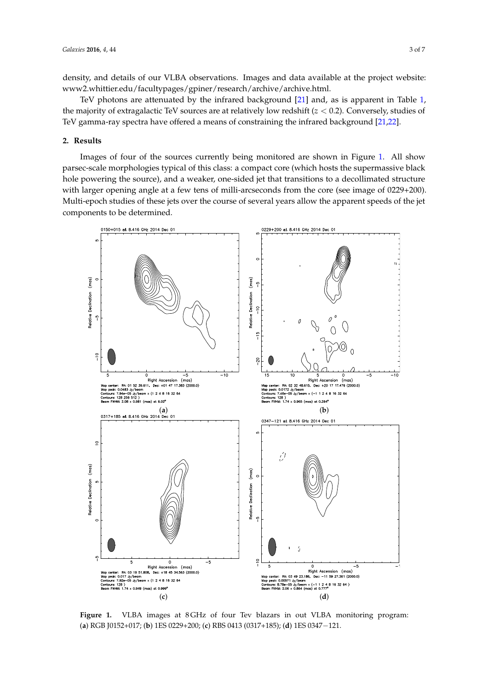density, and details of our VLBA observations. Images and data available at the project website: [www2.whittier.edu/facultypages/gpiner/research/archive/archive.html.](www2.whittier.edu/facultypages/gpiner/research/archive/archive.html)

TeV photons are attenuated by the infrared background [\[21\]](#page-6-12) and, as is apparent in Table [1,](#page-2-0) the majority of extragalactic TeV sources are at relatively low redshift (*z* < 0.2). Conversely, studies of TeV gamma-ray spectra have offered a means of constraining the infrared background [\[21,](#page-6-12)[22\]](#page-6-13).

#### **2. Results**

Images of four of the sources currently being monitored are shown in Figure [1.](#page-3-0) All show parsec-scale morphologies typical of this class: a compact core (which hosts the supermassive black hole powering the source), and a weaker, one-sided jet that transitions to a decollimated structure with larger opening angle at a few tens of milli-arcseconds from the core (see image of 0229+200). Multi-epoch studies of these jets over the course of several years allow the apparent speeds of the jet components to be determined.

<span id="page-3-0"></span>

Figure 1. VLBA images at 8 GHz of four Tev blazars in out VLBA monitoring program: (**a**) RGB J0152+017; (**b**) 1ES 0229+200; (**c**) RBS 0413 (0317+185); (**d**) 1ES 0347−121.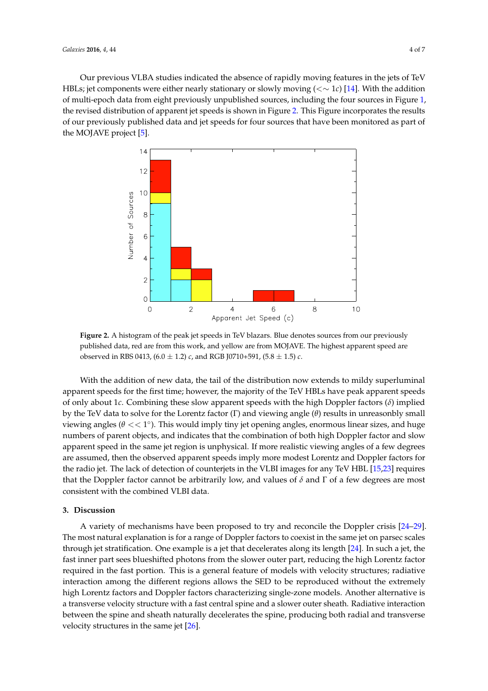Our previous VLBA studies indicated the absence of rapidly moving features in the jets of TeV HBLs; jet components were either nearly stationary or slowly moving (<∼ 1*c*) [\[14\]](#page-6-4). With the addition of multi-epoch data from eight previously unpublished sources, including the four sources in Figure [1,](#page-3-0) the revised distribution of apparent jet speeds is shown in Figure [2.](#page-4-0) This Figure incorporates the results of our previously published data and jet speeds for four sources that have been monitored as part of the MOJAVE project [\[5\]](#page-5-3).

<span id="page-4-0"></span>

**Figure 2.** A histogram of the peak jet speeds in TeV blazars. Blue denotes sources from our previously published data, red are from this work, and yellow are from MOJAVE. The highest apparent speed are observed in RBS 0413,  $(6.0 \pm 1.2)$  *c*, and RGB [0710+591,  $(5.8 \pm 1.5)$  *c*.

With the addition of new data, the tail of the distribution now extends to mildy superluminal apparent speeds for the first time; however, the majority of the TeV HBLs have peak apparent speeds of only about 1*c*. Combining these slow apparent speeds with the high Doppler factors (*δ*) implied by the TeV data to solve for the Lorentz factor (Γ) and viewing angle (*θ*) results in unreasonbly small viewing angles ( $\theta << 1^{\circ}$ ). This would imply tiny jet opening angles, enormous linear sizes, and huge numbers of parent objects, and indicates that the combination of both high Doppler factor and slow apparent speed in the same jet region is unphysical. If more realistic viewing angles of a few degrees are assumed, then the observed apparent speeds imply more modest Lorentz and Doppler factors for the radio jet. The lack of detection of counterjets in the VLBI images for any TeV HBL [\[15](#page-6-0)[,23\]](#page-6-14) requires that the Doppler factor cannot be arbitrarily low, and values of  $\delta$  and  $\Gamma$  of a few degrees are most consistent with the combined VLBI data.

## **3. Discussion**

A variety of mechanisms have been proposed to try and reconcile the Doppler crisis [\[24–](#page-6-15)[29\]](#page-6-16). The most natural explanation is for a range of Doppler factors to coexist in the same jet on parsec scales through jet stratification. One example is a jet that decelerates along its length [\[24\]](#page-6-15). In such a jet, the fast inner part sees blueshifted photons from the slower outer part, reducing the high Lorentz factor required in the fast portion. This is a general feature of models with velocity structures; radiative interaction among the different regions allows the SED to be reproduced without the extremely high Lorentz factors and Doppler factors characterizing single-zone models. Another alternative is a transverse velocity structure with a fast central spine and a slower outer sheath. Radiative interaction between the spine and sheath naturally decelerates the spine, producing both radial and transverse velocity structures in the same jet [\[26\]](#page-6-17).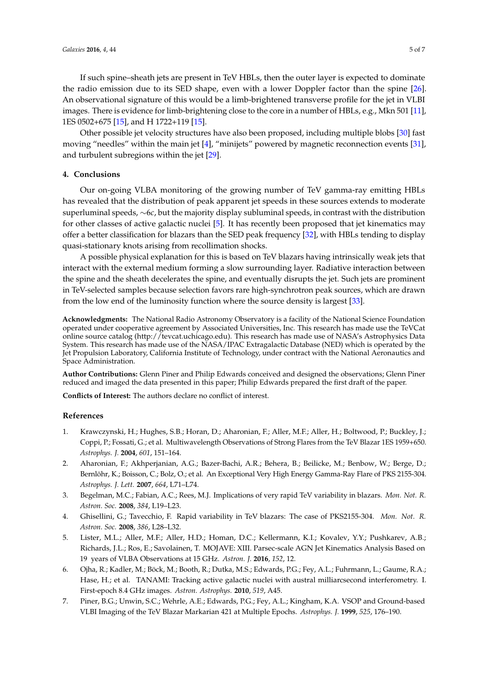If such spine–sheath jets are present in TeV HBLs, then the outer layer is expected to dominate the radio emission due to its SED shape, even with a lower Doppler factor than the spine [\[26\]](#page-6-17). An observational signature of this would be a limb-brightened transverse profile for the jet in VLBI images. There is evidence for limb-brightening close to the core in a number of HBLs, e.g., Mkn 501 [\[11\]](#page-6-5), 1ES 0502+675 [\[15\]](#page-6-0), and H 1722+119 [\[15\]](#page-6-0).

Other possible jet velocity structures have also been proposed, including multiple blobs [\[30\]](#page-6-18) fast moving "needles" within the main jet [\[4\]](#page-5-2), "minijets" powered by magnetic reconnection events [\[31\]](#page-6-19), and turbulent subregions within the jet [\[29\]](#page-6-16).

#### **4. Conclusions**

Our on-going VLBA monitoring of the growing number of TeV gamma-ray emitting HBLs has revealed that the distribution of peak apparent jet speeds in these sources extends to moderate superluminal speeds, ∼6*c*, but the majority display subluminal speeds, in contrast with the distribution for other classes of active galactic nuclei [\[5\]](#page-5-3). It has recently been proposed that jet kinematics may offer a better classification for blazars than the SED peak frequency [\[32\]](#page-7-0), with HBLs tending to display quasi-stationary knots arising from recollimation shocks.

A possible physical explanation for this is based on TeV blazars having intrinsically weak jets that interact with the external medium forming a slow surrounding layer. Radiative interaction between the spine and the sheath decelerates the spine, and eventually disrupts the jet. Such jets are prominent in TeV-selected samples because selection favors rare high-synchrotron peak sources, which are drawn from the low end of the luminosity function where the source density is largest [\[33\]](#page-7-1).

**Acknowledgments:** The National Radio Astronomy Observatory is a facility of the National Science Foundation operated under cooperative agreement by Associated Universities, Inc. This research has made use the TeVCat online source catalog (http://tevcat.uchicago.edu). This research has made use of NASA's Astrophysics Data System. This research has made use of the NASA/IPAC Extragalactic Database (NED) which is operated by the Jet Propulsion Laboratory, California Institute of Technology, under contract with the National Aeronautics and Space Administration.

**Author Contributions:** Glenn Piner and Philip Edwards conceived and designed the observations; Glenn Piner reduced and imaged the data presented in this paper; Philip Edwards prepared the first draft of the paper.

**Conflicts of Interest:** The authors declare no conflict of interest.

#### **References**

- <span id="page-5-0"></span>1. Krawczynski, H.; Hughes, S.B.; Horan, D.; Aharonian, F.; Aller, M.F.; Aller, H.; Boltwood, P.; Buckley, J.; Coppi, P.; Fossati, G.; et al. Multiwavelength Observations of Strong Flares from the TeV Blazar 1ES 1959+650. *Astrophys. J.* **2004**, *601*, 151–164.
- <span id="page-5-1"></span>2. Aharonian, F.; Akhperjanian, A.G.; Bazer-Bachi, A.R.; Behera, B.; Beilicke, M.; Benbow, W.; Berge, D.; Bernlöhr, K.; Boisson, C.; Bolz, O.; et al. An Exceptional Very High Energy Gamma-Ray Flare of PKS 2155-304. *Astrophys. J. Lett.* **2007**, *664*, L71–L74.
- 3. Begelman, M.C.; Fabian, A.C.; Rees, M.J. Implications of very rapid TeV variability in blazars. *Mon. Not. R. Astron. Soc.* **2008**, *384*, L19–L23.
- <span id="page-5-2"></span>4. Ghisellini, G.; Tavecchio, F. Rapid variability in TeV blazars: The case of PKS2155-304. *Mon. Not. R. Astron. Soc.* **2008**, *386*, L28–L32.
- <span id="page-5-3"></span>5. Lister, M.L.; Aller, M.F.; Aller, H.D.; Homan, D.C.; Kellermann, K.I.; Kovalev, Y.Y.; Pushkarev, A.B.; Richards, J.L.; Ros, E.; Savolainen, T. MOJAVE: XIII. Parsec-scale AGN Jet Kinematics Analysis Based on 19 years of VLBA Observations at 15 GHz. *Astron. J.* **2016**, *152*, 12.
- <span id="page-5-4"></span>6. Ojha, R.; Kadler, M.; Böck, M.; Booth, R.; Dutka, M.S.; Edwards, P.G.; Fey, A.L.; Fuhrmann, L.; Gaume, R.A.; Hase, H.; et al. TANAMI: Tracking active galactic nuclei with austral milliarcsecond interferometry. I. First-epoch 8.4 GHz images. *Astron. Astrophys.* **2010**, *519*, A45.
- <span id="page-5-5"></span>7. Piner, B.G.; Unwin, S.C.; Wehrle, A.E.; Edwards, P.G.; Fey, A.L.; Kingham, K.A. VSOP and Ground-based VLBI Imaging of the TeV Blazar Markarian 421 at Multiple Epochs. *Astrophys. J.* **1999**, *525*, 176–190.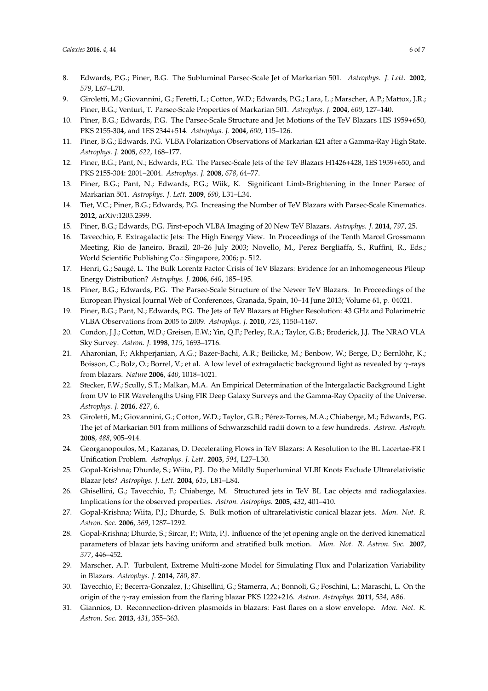- <span id="page-6-8"></span>8. Edwards, P.G.; Piner, B.G. The Subluminal Parsec-Scale Jet of Markarian 501. *Astrophys. J. Lett.* **2002**, *579*, L67–L70.
- 9. Giroletti, M.; Giovannini, G.; Feretti, L.; Cotton, W.D.; Edwards, P.G.; Lara, L.; Marscher, A.P.; Mattox, J.R.; Piner, B.G.; Venturi, T. Parsec-Scale Properties of Markarian 501. *Astrophys. J.* **2004**, *600*, 127–140.
- <span id="page-6-10"></span>10. Piner, B.G.; Edwards, P.G. The Parsec-Scale Structure and Jet Motions of the TeV Blazars 1ES 1959+650, PKS 2155-304, and 1ES 2344+514. *Astrophys. J.* **2004**, *600*, 115–126.
- <span id="page-6-5"></span>11. Piner, B.G.; Edwards, P.G. VLBA Polarization Observations of Markarian 421 after a Gamma-Ray High State. *Astrophys. J.* **2005**, *622*, 168–177.
- <span id="page-6-7"></span>12. Piner, B.G.; Pant, N.; Edwards, P.G. The Parsec-Scale Jets of the TeV Blazars H1426+428, 1ES 1959+650, and PKS 2155-304: 2001–2004. *Astrophys. J.* **2008**, *678*, 64–77.
- <span id="page-6-9"></span>13. Piner, B.G.; Pant, N.; Edwards, P.G.; Wiik, K. Significant Limb-Brightening in the Inner Parsec of Markarian 501. *Astrophys. J. Lett.* **2009**, *690*, L31–L34.
- <span id="page-6-4"></span>14. Tiet, V.C.; Piner, B.G.; Edwards, P.G. Increasing the Number of TeV Blazars with Parsec-Scale Kinematics. **2012**, arXiv:1205.2399.
- <span id="page-6-0"></span>15. Piner, B.G.; Edwards, P.G. First-epoch VLBA Imaging of 20 New TeV Blazars. *Astrophys. J.* **2014**, *797*, 25.
- <span id="page-6-1"></span>16. Tavecchio, F. Extragalactic Jets: The High Energy View. In Proceedings of the Tenth Marcel Grossmann Meeting, Rio de Janeiro, Brazil, 20–26 July 2003; Novello, M., Perez Bergliaffa, S., Ruffini, R., Eds.; World Scientific Publishing Co.: Singapore, 2006; p. 512.
- <span id="page-6-2"></span>17. Henri, G.; Saugé, L. The Bulk Lorentz Factor Crisis of TeV Blazars: Evidence for an Inhomogeneous Pileup Energy Distribution? *Astrophys. J.* **2006**, *640*, 185–195.
- <span id="page-6-3"></span>18. Piner, B.G.; Edwards, P.G. The Parsec-Scale Structure of the Newer TeV Blazars. In Proceedings of the European Physical Journal Web of Conferences, Granada, Spain, 10–14 June 2013; Volume 61, p. 04021.
- <span id="page-6-6"></span>19. Piner, B.G.; Pant, N.; Edwards, P.G. The Jets of TeV Blazars at Higher Resolution: 43 GHz and Polarimetric VLBA Observations from 2005 to 2009. *Astrophys. J.* **2010**, *723*, 1150–1167.
- <span id="page-6-11"></span>20. Condon, J.J.; Cotton, W.D.; Greisen, E.W.; Yin, Q.F.; Perley, R.A.; Taylor, G.B.; Broderick, J.J. The NRAO VLA Sky Survey. *Astron. J.* **1998**, *115*, 1693–1716.
- <span id="page-6-12"></span>21. Aharonian, F.; Akhperjanian, A.G.; Bazer-Bachi, A.R.; Beilicke, M.; Benbow, W.; Berge, D.; Bernlöhr, K.; Boisson, C.; Bolz, O.; Borrel, V.; et al. A low level of extragalactic background light as revealed by *γ*-rays from blazars. *Nature* **2006**, *440*, 1018–1021.
- <span id="page-6-13"></span>22. Stecker, F.W.; Scully, S.T.; Malkan, M.A. An Empirical Determination of the Intergalactic Background Light from UV to FIR Wavelengths Using FIR Deep Galaxy Surveys and the Gamma-Ray Opacity of the Universe. *Astrophys. J.* **2016**, *827*, 6.
- <span id="page-6-14"></span>23. Giroletti, M.; Giovannini, G.; Cotton, W.D.; Taylor, G.B.; Pérez-Torres, M.A.; Chiaberge, M.; Edwards, P.G. The jet of Markarian 501 from millions of Schwarzschild radii down to a few hundreds. *Astron. Astroph.* **2008**, *488*, 905–914.
- <span id="page-6-15"></span>24. Georganopoulos, M.; Kazanas, D. Decelerating Flows in TeV Blazars: A Resolution to the BL Lacertae-FR I Unification Problem. *Astrophys. J. Lett.* **2003**, *594*, L27–L30.
- 25. Gopal-Krishna; Dhurde, S.; Wiita, P.J. Do the Mildly Superluminal VLBI Knots Exclude Ultrarelativistic Blazar Jets? *Astrophys. J. Lett.* **2004**, *615*, L81–L84.
- <span id="page-6-17"></span>26. Ghisellini, G.; Tavecchio, F.; Chiaberge, M. Structured jets in TeV BL Lac objects and radiogalaxies. Implications for the observed properties. *Astron. Astrophys.* **2005**, *432*, 401–410.
- 27. Gopal-Krishna; Wiita, P.J.; Dhurde, S. Bulk motion of ultrarelativistic conical blazar jets. *Mon. Not. R. Astron. Soc.* **2006**, *369*, 1287–1292.
- 28. Gopal-Krishna; Dhurde, S.; Sircar, P.; Wiita, P.J. Influence of the jet opening angle on the derived kinematical parameters of blazar jets having uniform and stratified bulk motion. *Mon. Not. R. Astron. Soc.* **2007**, *377*, 446–452.
- <span id="page-6-16"></span>29. Marscher, A.P. Turbulent, Extreme Multi-zone Model for Simulating Flux and Polarization Variability in Blazars. *Astrophys. J.* **2014**, *780*, 87.
- <span id="page-6-18"></span>30. Tavecchio, F.; Becerra-Gonzalez, J.; Ghisellini, G.; Stamerra, A.; Bonnoli, G.; Foschini, L.; Maraschi, L. On the origin of the *γ*-ray emission from the flaring blazar PKS 1222+216. *Astron. Astrophys.* **2011**, *534*, A86.
- <span id="page-6-19"></span>31. Giannios, D. Reconnection-driven plasmoids in blazars: Fast flares on a slow envelope. *Mon. Not. R. Astron. Soc.* **2013**, *431*, 355–363.